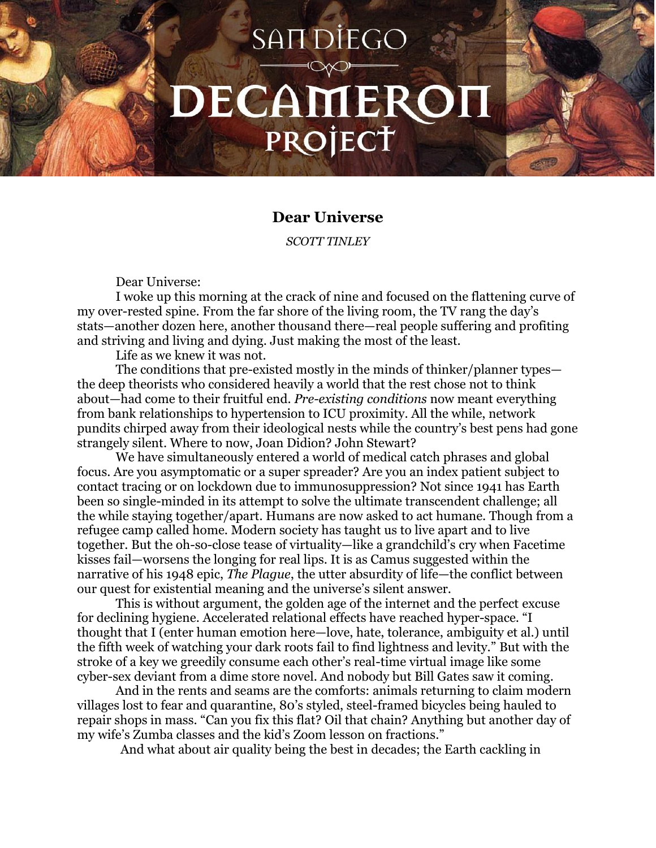## SAIT DIEGO DECAMERON PROJECT

## **Dear Universe**

*SCOTT TINLEY*

Dear Universe:

I woke up this morning at the crack of nine and focused on the flattening curve of my over-rested spine. From the far shore of the living room, the TV rang the day's stats—another dozen here, another thousand there—real people suffering and profiting and striving and living and dying. Just making the most of the least.

Life as we knew it was not.

The conditions that pre-existed mostly in the minds of thinker/planner types the deep theorists who considered heavily a world that the rest chose not to think about—had come to their fruitful end. *Pre-existing conditions* now meant everything from bank relationships to hypertension to ICU proximity. All the while, network pundits chirped away from their ideological nests while the country's best pens had gone strangely silent. Where to now, Joan Didion? John Stewart?

We have simultaneously entered a world of medical catch phrases and global focus. Are you asymptomatic or a super spreader? Are you an index patient subject to contact tracing or on lockdown due to immunosuppression? Not since 1941 has Earth been so single-minded in its attempt to solve the ultimate transcendent challenge; all the while staying together/apart. Humans are now asked to act humane. Though from a refugee camp called home. Modern society has taught us to live apart and to live together. But the oh-so-close tease of virtuality—like a grandchild's cry when Facetime kisses fail—worsens the longing for real lips. It is as Camus suggested within the narrative of his 1948 epic, *The Plague*, the utter absurdity of life—the conflict between our quest for existential meaning and the universe's silent answer.

This is without argument, the golden age of the internet and the perfect excuse for declining hygiene. Accelerated relational effects have reached hyper-space. "I thought that I (enter human emotion here—love, hate, tolerance, ambiguity et al.) until the fifth week of watching your dark roots fail to find lightness and levity." But with the stroke of a key we greedily consume each other's real-time virtual image like some cyber-sex deviant from a dime store novel. And nobody but Bill Gates saw it coming.

And in the rents and seams are the comforts: animals returning to claim modern villages lost to fear and quarantine, 80's styled, steel-framed bicycles being hauled to repair shops in mass. "Can you fix this flat? Oil that chain? Anything but another day of my wife's Zumba classes and the kid's Zoom lesson on fractions."

And what about air quality being the best in decades; the Earth cackling in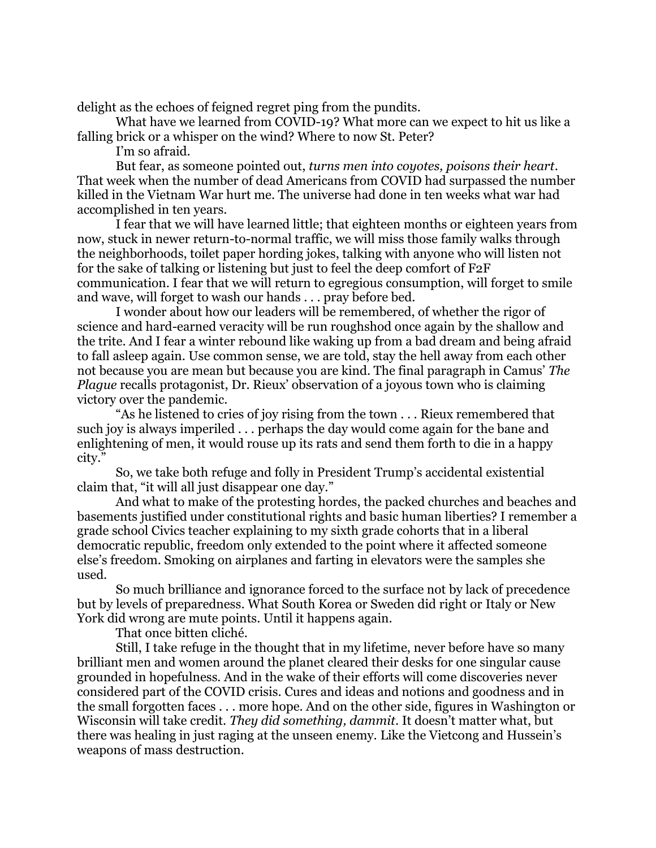delight as the echoes of feigned regret ping from the pundits.

What have we learned from COVID-19? What more can we expect to hit us like a falling brick or a whisper on the wind? Where to now St. Peter?

I'm so afraid.

But fear, as someone pointed out, *turns men into coyotes, poisons their heart*. That week when the number of dead Americans from COVID had surpassed the number killed in the Vietnam War hurt me. The universe had done in ten weeks what war had accomplished in ten years.

I fear that we will have learned little; that eighteen months or eighteen years from now, stuck in newer return-to-normal traffic, we will miss those family walks through the neighborhoods, toilet paper hording jokes, talking with anyone who will listen not for the sake of talking or listening but just to feel the deep comfort of F2F communication. I fear that we will return to egregious consumption, will forget to smile and wave, will forget to wash our hands . . . pray before bed.

I wonder about how our leaders will be remembered, of whether the rigor of science and hard-earned veracity will be run roughshod once again by the shallow and the trite. And I fear a winter rebound like waking up from a bad dream and being afraid to fall asleep again. Use common sense, we are told, stay the hell away from each other not because you are mean but because you are kind. The final paragraph in Camus' *The Plague* recalls protagonist, Dr. Rieux' observation of a joyous town who is claiming victory over the pandemic.

"As he listened to cries of joy rising from the town . . . Rieux remembered that such joy is always imperiled . . . perhaps the day would come again for the bane and enlightening of men, it would rouse up its rats and send them forth to die in a happy city."

So, we take both refuge and folly in President Trump's accidental existential claim that, "it will all just disappear one day."

And what to make of the protesting hordes, the packed churches and beaches and basements justified under constitutional rights and basic human liberties? I remember a grade school Civics teacher explaining to my sixth grade cohorts that in a liberal democratic republic, freedom only extended to the point where it affected someone else's freedom. Smoking on airplanes and farting in elevators were the samples she used.

So much brilliance and ignorance forced to the surface not by lack of precedence but by levels of preparedness. What South Korea or Sweden did right or Italy or New York did wrong are mute points. Until it happens again.

That once bitten cliché.

Still, I take refuge in the thought that in my lifetime, never before have so many brilliant men and women around the planet cleared their desks for one singular cause grounded in hopefulness. And in the wake of their efforts will come discoveries never considered part of the COVID crisis. Cures and ideas and notions and goodness and in the small forgotten faces . . . more hope. And on the other side, figures in Washington or Wisconsin will take credit. *They did something, dammit*. It doesn't matter what, but there was healing in just raging at the unseen enemy. Like the Vietcong and Hussein's weapons of mass destruction.